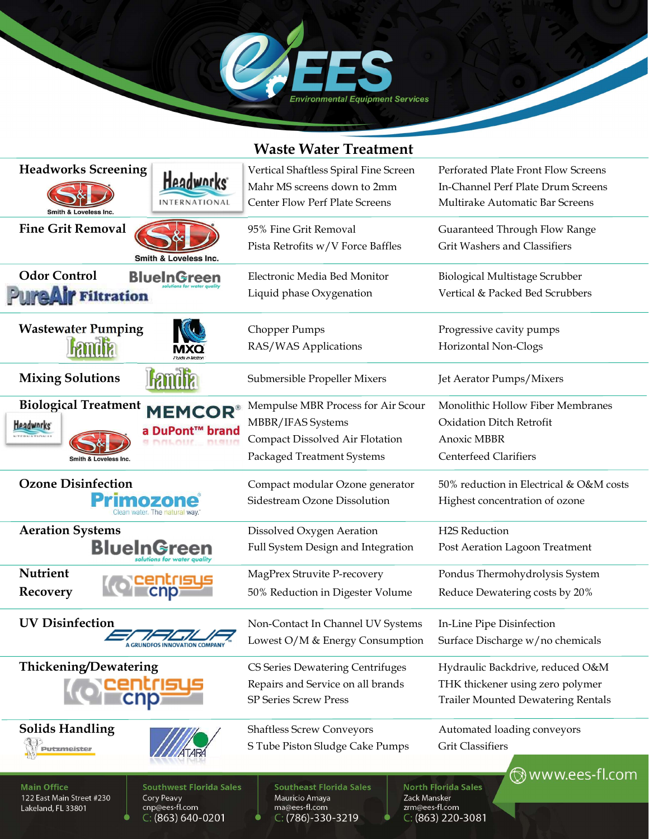

Waste Water Treatment

| <i>rradic rratci Ticaliliciil</i>                                                                                                       |                                                                                                     |                                                                           |
|-----------------------------------------------------------------------------------------------------------------------------------------|-----------------------------------------------------------------------------------------------------|---------------------------------------------------------------------------|
| <b>Headworks Screening</b><br>Headworks                                                                                                 | Vertical Shaftless Spiral Fine Screen<br>Mahr MS screens down to 2mm                                | Perforated Plate Front Flow Screens<br>In-Channel Perf Plate Drum Screens |
| <b>INTERNATIONAL</b><br>Smith & Loveless Inc.                                                                                           | <b>Center Flow Perf Plate Screens</b>                                                               | Multirake Automatic Bar Screens                                           |
| <b>Fine Grit Removal</b>                                                                                                                | 95% Fine Grit Removal                                                                               | Guaranteed Through Flow Range                                             |
| Smith & Loveless Inc.                                                                                                                   | Pista Retrofits w/V Force Baffles                                                                   | Grit Washers and Classifiers                                              |
| <b>Odor Control</b><br><b>BlueInGreen</b>                                                                                               | Electronic Media Bed Monitor                                                                        | Biological Multistage Scrubber                                            |
| <b>Filtration</b>                                                                                                                       | Liquid phase Oxygenation                                                                            | Vertical & Packed Bed Scrubbers                                           |
| <b>Wastewater Pumping</b>                                                                                                               | Chopper Pumps                                                                                       | Progressive cavity pumps                                                  |
| <b>Hamilia</b>                                                                                                                          | RAS/WAS Applications                                                                                | Horizontal Non-Clogs                                                      |
| <b>Mixing Solutions</b>                                                                                                                 | Submersible Propeller Mixers                                                                        | Jet Aerator Pumps/Mixers                                                  |
| <b>Biological Treatment</b><br><b>MEMCOR®</b>                                                                                           | Mempulse MBR Process for Air Scour                                                                  | Monolithic Hollow Fiber Membranes                                         |
| <b>Headworks</b><br>a DuPont <sup>™</sup> brand                                                                                         | MBBR/IFAS Systems                                                                                   | Oxidation Ditch Retrofit                                                  |
| ntatio<br><b>SCHOOL</b>                                                                                                                 | Compact Dissolved Air Flotation                                                                     | Anoxic MBBR                                                               |
| Smith & Loveless Inc.                                                                                                                   | Packaged Treatment Systems                                                                          | <b>Centerfeed Clarifiers</b>                                              |
| <b>Ozone Disinfection</b>                                                                                                               | Compact modular Ozone generator                                                                     | 50% reduction in Electrical & O&M costs                                   |
| Primozo<br>Clean water. The natural way.                                                                                                | Sidestream Ozone Dissolution                                                                        | Highest concentration of ozone                                            |
| <b>Aeration Systems</b>                                                                                                                 | Dissolved Oxygen Aeration                                                                           | H2S Reduction                                                             |
| <b>BlueInGreen</b>                                                                                                                      | Full System Design and Integration                                                                  | Post Aeration Lagoon Treatment                                            |
| Nutrient                                                                                                                                | MagPrex Struvite P-recovery                                                                         | Pondus Thermohydrolysis System                                            |
| <b>Recovery</b>                                                                                                                         | 50% Reduction in Digester Volume                                                                    | Reduce Dewatering costs by 20%                                            |
| <b>UV Disinfection</b>                                                                                                                  | Non-Contact In Channel UV Systems                                                                   | In-Line Pipe Disinfection                                                 |
| <b>A GRUNDFOS INNOVATION COMPANY</b>                                                                                                    | Lowest O/M & Energy Consumption                                                                     | Surface Discharge w/no chemicals                                          |
| Thickening/Dewatering                                                                                                                   | CS Series Dewatering Centrifuges                                                                    | Hydraulic Backdrive, reduced O&M                                          |
|                                                                                                                                         | Repairs and Service on all brands                                                                   | THK thickener using zero polymer                                          |
|                                                                                                                                         | SP Series Screw Press                                                                               | <b>Trailer Mounted Dewatering Rentals</b>                                 |
| <b>Solids Handling</b>                                                                                                                  | <b>Shaftless Screw Conveyors</b>                                                                    | Automated loading conveyors                                               |
| <b>Putzmeister</b>                                                                                                                      | S Tube Piston Sludge Cake Pumps                                                                     | <b>Grit Classifiers</b>                                                   |
| <b>Main Office</b><br><b>Southwest Florida Sales</b><br>122 East Main Street #230<br>Cory Peavy<br>cnp@ees-fl.com<br>Lakeland, FL 33801 | <b>Southeast Florida Sales</b><br>Mauricio Amaya<br>Zack Mansker<br>ma@ees-fl.com<br>zrm@ees-fl.com | ွ www.ees-fl.com<br><b>North Florida Sales</b>                            |
| C: (863) 640-0201                                                                                                                       | C: (786)-330-3219                                                                                   | $C: (863)$ 220-3081                                                       |